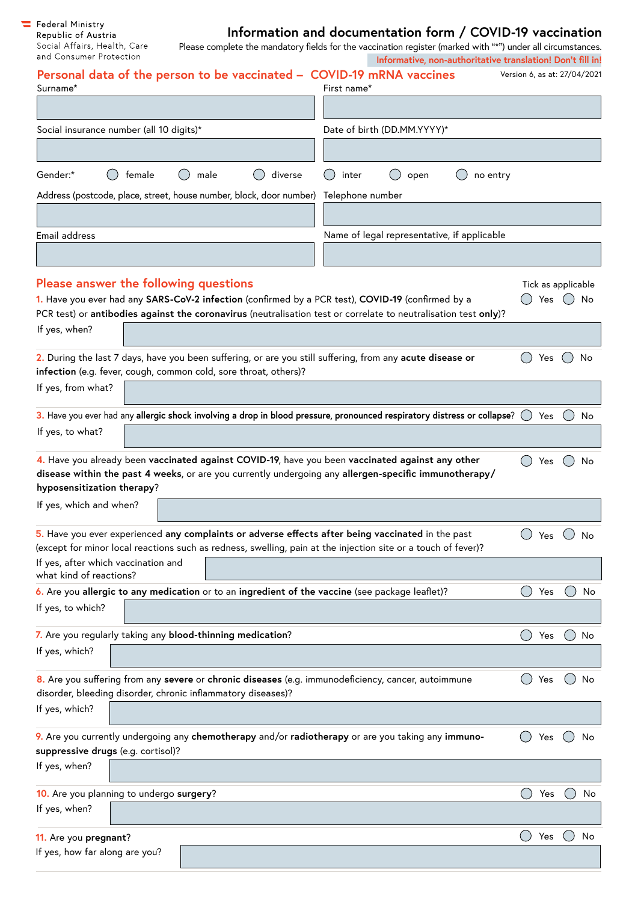$\begin{tabular}{ll} \begin{tabular}{ll} \begin{tabular}{ll} \textbf{\textcolor{red}{\bf =} & \textbf{\textcolor{red}{\bf \textcolor{green}{\bf \textcolor{green}{\bf \textcolor{green}{\bf \textcolor{green}{\bf \textcolor{green}{\bf \textcolor{green}{\bf \textcolor{green}{\bf \textcolor{green}{\bf \textcolor{green}{\bf \textcolor{green}{\bf \textcolor{green}{\bf \textcolor{green}{\bf \textcolor{green}{\bf \textcolor{green}{\bf \textcolor{green}{\bf \textcolor{green}{\bf \textcolor{green}{\bf \textcolor{green}{\bf \textcolor{green}{\bf \textcolor{green}{\bf \textcolor{green}{\bf \textcolor$ Social Affairs, Health, Care and Consumer Protection

## **Information and documentation form / COVID-19 vaccination**

Please complete the mandatory fields for the vaccination register (marked with "\*") under all circumstances. **Informative, non-authoritative translation! Don't fill in!**

| Personal data of the person to be vaccinated - COVID-19 mRNA vaccines<br>Surname*                                                                                                                                                       | First name*                                 | Version 6, as at: 27/04/2021 |             |
|-----------------------------------------------------------------------------------------------------------------------------------------------------------------------------------------------------------------------------------------|---------------------------------------------|------------------------------|-------------|
|                                                                                                                                                                                                                                         |                                             |                              |             |
| Social insurance number (all 10 digits)*                                                                                                                                                                                                | Date of birth (DD.MM.YYYY)*                 |                              |             |
|                                                                                                                                                                                                                                         |                                             |                              |             |
| Gender:*<br>female<br>diverse<br>male                                                                                                                                                                                                   | inter<br>open<br>no entry                   |                              |             |
| Address (postcode, place, street, house number, block, door number)                                                                                                                                                                     | Telephone number                            |                              |             |
|                                                                                                                                                                                                                                         |                                             |                              |             |
| Email address                                                                                                                                                                                                                           | Name of legal representative, if applicable |                              |             |
|                                                                                                                                                                                                                                         |                                             |                              |             |
| Please answer the following questions                                                                                                                                                                                                   |                                             | Tick as applicable           |             |
| 1. Have you ever had any SARS-CoV-2 infection (confirmed by a PCR test), COVID-19 (confirmed by a                                                                                                                                       |                                             | Yes $()$                     | No          |
| PCR test) or antibodies against the coronavirus (neutralisation test or correlate to neutralisation test only)?                                                                                                                         |                                             |                              |             |
| If yes, when?                                                                                                                                                                                                                           |                                             |                              |             |
| 2. During the last 7 days, have you been suffering, or are you still suffering, from any acute disease or<br>infection (e.g. fever, cough, common cold, sore throat, others)?                                                           |                                             | $($ )<br>Yes $()$            | No          |
| If yes, from what?                                                                                                                                                                                                                      |                                             |                              |             |
|                                                                                                                                                                                                                                         |                                             |                              |             |
| 3. Have you ever had any allergic shock involving a drop in blood pressure, pronounced respiratory distress or collapse? $\bigcirc$ Yes<br>If yes, to what?                                                                             |                                             |                              | No          |
|                                                                                                                                                                                                                                         |                                             |                              |             |
| 4. Have you already been vaccinated against COVID-19, have you been vaccinated against any other<br>disease within the past 4 weeks, or are you currently undergoing any allergen-specific immunotherapy/<br>hyposensitization therapy? |                                             | $($ )<br>Yes                 | No          |
| If yes, which and when?                                                                                                                                                                                                                 |                                             |                              |             |
|                                                                                                                                                                                                                                         |                                             |                              |             |
| 5. Have you ever experienced any complaints or adverse effects after being vaccinated in the past<br>(except for minor local reactions such as redness, swelling, pain at the injection site or a touch of fever)?                      |                                             | $\bigcirc$ Yes $\bigcirc$    | No          |
| If yes, after which vaccination and<br>what kind of reactions?                                                                                                                                                                          |                                             |                              |             |
| 6. Are you allergic to any medication or to an ingredient of the vaccine (see package leaflet)?                                                                                                                                         |                                             | $($ )<br>Yes                 | $($ )<br>No |
| If yes, to which?                                                                                                                                                                                                                       |                                             |                              |             |
| 7. Are you regularly taking any blood-thinning medication?                                                                                                                                                                              |                                             | $(\ )$<br>Yes                | No          |
| If yes, which?                                                                                                                                                                                                                          |                                             |                              |             |
|                                                                                                                                                                                                                                         |                                             |                              |             |
| 8. Are you suffering from any severe or chronic diseases (e.g. immunodeficiency, cancer, autoimmune<br>disorder, bleeding disorder, chronic inflammatory diseases)?                                                                     |                                             | Yes                          | No          |
| If yes, which?                                                                                                                                                                                                                          |                                             |                              |             |
|                                                                                                                                                                                                                                         |                                             |                              |             |
| 9. Are you currently undergoing any chemotherapy and/or radiotherapy or are you taking any immuno-                                                                                                                                      |                                             | $($ )<br>Yes                 | No          |
| suppressive drugs (e.g. cortisol)?<br>If yes, when?                                                                                                                                                                                     |                                             |                              |             |
|                                                                                                                                                                                                                                         |                                             |                              |             |
| 10. Are you planning to undergo surgery?                                                                                                                                                                                                |                                             | $( \ )$<br>Yes               | No          |
| If yes, when?                                                                                                                                                                                                                           |                                             |                              |             |
| 11. Are you pregnant?                                                                                                                                                                                                                   |                                             | $\bigcirc$<br>Yes            | No          |
| If yes, how far along are you?                                                                                                                                                                                                          |                                             |                              |             |
|                                                                                                                                                                                                                                         |                                             |                              |             |